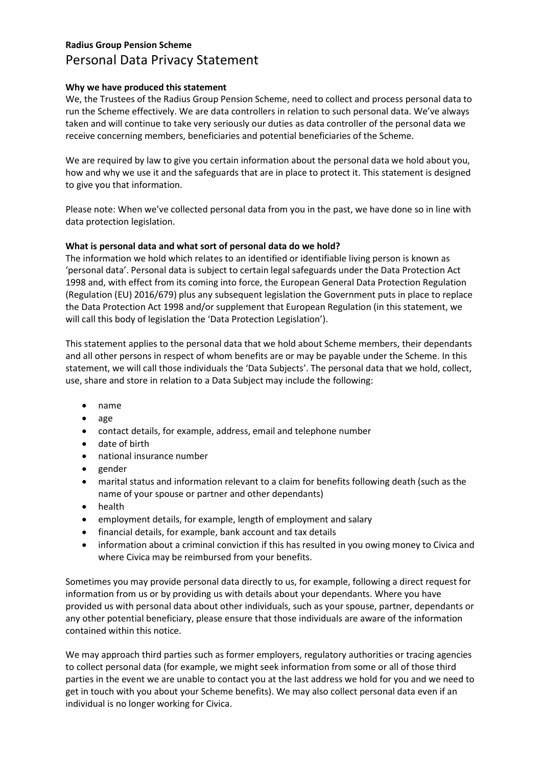# Radius Group Pension Scheme Personal Data Privacy Statement

## Why we have produced this statement

We, the Trustees of the Radius Group Pension Scheme, need to collect and process personal data to run the Scheme effectively. We are data controllers in relation to such personal data. We've always taken and will continue to take very seriously our duties as data controller of the personal data we receive concerning members, beneficiaries and potential beneficiaries of the Scheme.

We are required by law to give you certain information about the personal data we hold about you, how and why we use it and the safeguards that are in place to protect it. This statement is designed to give you that information.

Please note: When we've collected personal data from you in the past, we have done so in line with data protection legislation.

# What is personal data and what sort of personal data do we hold?

The information we hold which relates to an identified or identifiable living person is known as 'personal data'. Personal data is subject to certain legal safeguards under the Data Protection Act 1998 and, with effect from its coming into force, the European General Data Protection Regulation (Regulation (EU) 2016/679) plus any subsequent legislation the Government puts in place to replace the Data Protection Act 1998 and/or supplement that European Regulation (in this statement, we will call this body of legislation the 'Data Protection Legislation').

This statement applies to the personal data that we hold about Scheme members, their dependants and all other persons in respect of whom benefits are or may be payable under the Scheme. In this statement, we will call those individuals the 'Data Subjects'. The personal data that we hold, collect, use, share and store in relation to a Data Subject may include the following:

- name
- age
- contact details, for example, address, email and telephone number
- date of birth
- national insurance number
- $\bullet$  gender
- marital status and information relevant to a claim for benefits following death (such as the name of your spouse or partner and other dependants)
- health
- employment details, for example, length of employment and salary
- financial details, for example, bank account and tax details
- information about a criminal conviction if this has resulted in you owing money to Civica and where Civica may be reimbursed from your benefits.

Sometimes you may provide personal data directly to us, for example, following a direct request for information from us or by providing us with details about your dependants. Where you have provided us with personal data about other individuals, such as your spouse, partner, dependants or any other potential beneficiary, please ensure that those individuals are aware of the information contained within this notice.

We may approach third parties such as former employers, regulatory authorities or tracing agencies to collect personal data (for example, we might seek information from some or all of those third parties in the event we are unable to contact you at the last address we hold for you and we need to get in touch with you about your Scheme benefits). We may also collect personal data even if an individual is no longer working for Civica.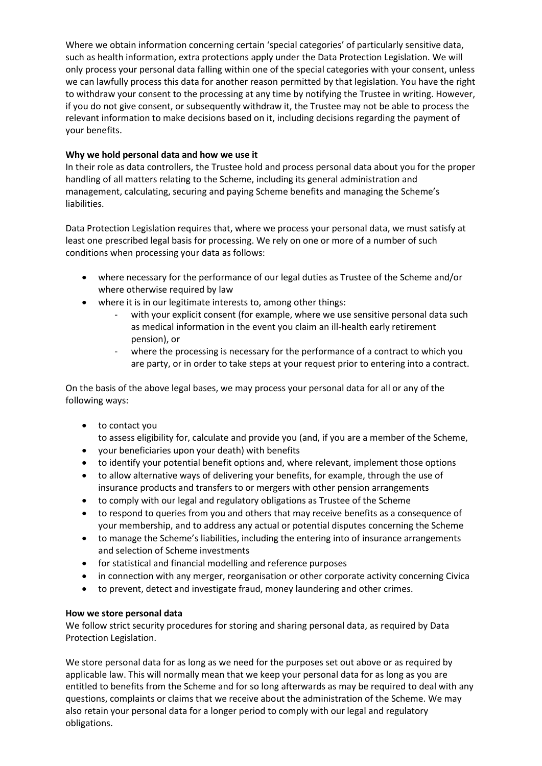Where we obtain information concerning certain 'special categories' of particularly sensitive data, such as health information, extra protections apply under the Data Protection Legislation. We will only process your personal data falling within one of the special categories with your consent, unless we can lawfully process this data for another reason permitted by that legislation. You have the right to withdraw your consent to the processing at any time by notifying the Trustee in writing. However, if you do not give consent, or subsequently withdraw it, the Trustee may not be able to process the relevant information to make decisions based on it, including decisions regarding the payment of your benefits.

## Why we hold personal data and how we use it

In their role as data controllers, the Trustee hold and process personal data about you for the proper handling of all matters relating to the Scheme, including its general administration and management, calculating, securing and paying Scheme benefits and managing the Scheme's liabilities.

Data Protection Legislation requires that, where we process your personal data, we must satisfy at least one prescribed legal basis for processing. We rely on one or more of a number of such conditions when processing your data as follows:

- where necessary for the performance of our legal duties as Trustee of the Scheme and/or where otherwise required by law
- where it is in our legitimate interests to, among other things:
	- with your explicit consent (for example, where we use sensitive personal data such as medical information in the event you claim an ill-health early retirement pension), or
	- where the processing is necessary for the performance of a contract to which you are party, or in order to take steps at your request prior to entering into a contract.

On the basis of the above legal bases, we may process your personal data for all or any of the following ways:

to contact you

to assess eligibility for, calculate and provide you (and, if you are a member of the Scheme,

- your beneficiaries upon your death) with benefits
- to identify your potential benefit options and, where relevant, implement those options
- to allow alternative ways of delivering your benefits, for example, through the use of insurance products and transfers to or mergers with other pension arrangements
- to comply with our legal and regulatory obligations as Trustee of the Scheme
- to respond to queries from you and others that may receive benefits as a consequence of your membership, and to address any actual or potential disputes concerning the Scheme
- to manage the Scheme's liabilities, including the entering into of insurance arrangements and selection of Scheme investments
- for statistical and financial modelling and reference purposes
- in connection with any merger, reorganisation or other corporate activity concerning Civica
- to prevent, detect and investigate fraud, money laundering and other crimes.

#### How we store personal data

We follow strict security procedures for storing and sharing personal data, as required by Data Protection Legislation.

We store personal data for as long as we need for the purposes set out above or as required by applicable law. This will normally mean that we keep your personal data for as long as you are entitled to benefits from the Scheme and for so long afterwards as may be required to deal with any questions, complaints or claims that we receive about the administration of the Scheme. We may also retain your personal data for a longer period to comply with our legal and regulatory obligations.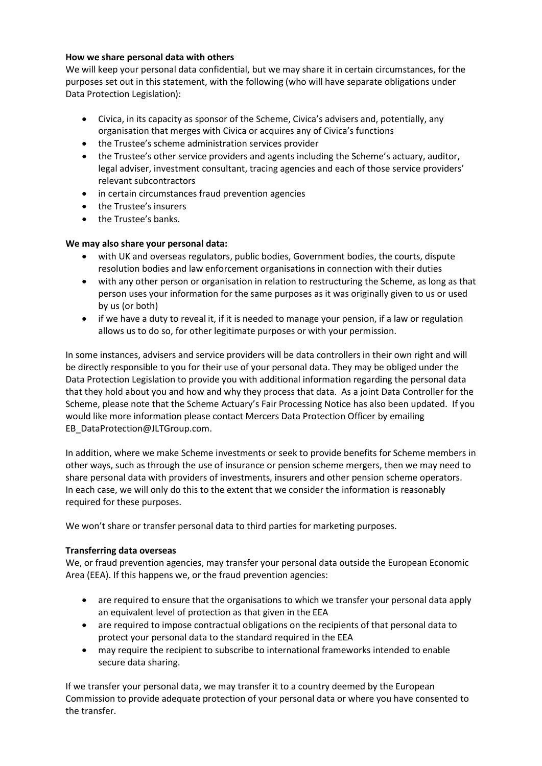## How we share personal data with others

We will keep your personal data confidential, but we may share it in certain circumstances, for the purposes set out in this statement, with the following (who will have separate obligations under Data Protection Legislation):

- Civica, in its capacity as sponsor of the Scheme, Civica's advisers and, potentially, any organisation that merges with Civica or acquires any of Civica's functions
- the Trustee's scheme administration services provider
- the Trustee's other service providers and agents including the Scheme's actuary, auditor, legal adviser, investment consultant, tracing agencies and each of those service providers' relevant subcontractors
- in certain circumstances fraud prevention agencies
- the Trustee's insurers
- the Trustee's banks.

# We may also share your personal data:

- with UK and overseas regulators, public bodies, Government bodies, the courts, dispute resolution bodies and law enforcement organisations in connection with their duties
- with any other person or organisation in relation to restructuring the Scheme, as long as that person uses your information for the same purposes as it was originally given to us or used by us (or both)
- if we have a duty to reveal it, if it is needed to manage your pension, if a law or regulation allows us to do so, for other legitimate purposes or with your permission.

In some instances, advisers and service providers will be data controllers in their own right and will be directly responsible to you for their use of your personal data. They may be obliged under the Data Protection Legislation to provide you with additional information regarding the personal data that they hold about you and how and why they process that data. As a joint Data Controller for the Scheme, please note that the Scheme Actuary's Fair Processing Notice has also been updated. If you would like more information please contact Mercers Data Protection Officer by emailing EB\_DataProtection@JLTGroup.com.

In addition, where we make Scheme investments or seek to provide benefits for Scheme members in other ways, such as through the use of insurance or pension scheme mergers, then we may need to share personal data with providers of investments, insurers and other pension scheme operators. In each case, we will only do this to the extent that we consider the information is reasonably required for these purposes.

We won't share or transfer personal data to third parties for marketing purposes.

# Transferring data overseas

We, or fraud prevention agencies, may transfer your personal data outside the European Economic Area (EEA). If this happens we, or the fraud prevention agencies:

- are required to ensure that the organisations to which we transfer your personal data apply an equivalent level of protection as that given in the EEA
- are required to impose contractual obligations on the recipients of that personal data to protect your personal data to the standard required in the EEA
- may require the recipient to subscribe to international frameworks intended to enable secure data sharing.

If we transfer your personal data, we may transfer it to a country deemed by the European Commission to provide adequate protection of your personal data or where you have consented to the transfer.